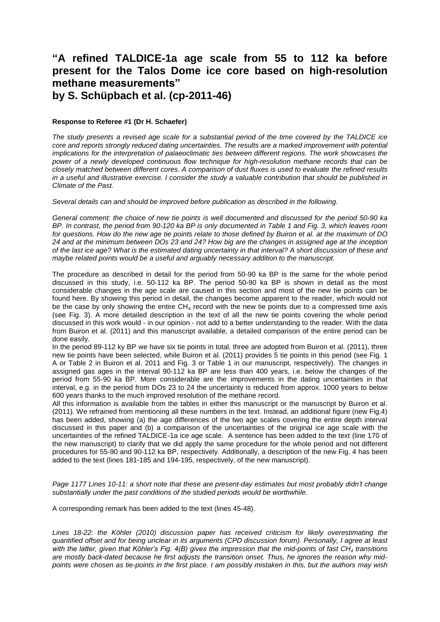## **"A refined TALDICE-1a age scale from 55 to 112 ka before present for the Talos Dome ice core based on high-resolution methane measurements" by S. Schüpbach et al. (cp-2011-46)**

## **Response to Referee #1 (Dr H. Schaefer)**

*The study presents a revised age scale for a substantial period of the time covered by the TALDICE ice core and reports strongly reduced dating uncertainties. The results are a marked improvement with potential implications for the interpretation of palaeoclimatic ties between different regions. The work showcases the power of a newly developed continuous flow technique for high-resolution methane records that can be closely matched between different cores. A comparison of dust fluxes is used to evaluate the refined results in a useful and illustrative exercise. I consider the study a valuable contribution that should be published in Climate of the Past.*

*Several details can and should be improved before publication as described in the following.*

*General comment: the choice of new tie points is well documented and discussed for the period 50-90 ka BP. In contrast, the period from 90-120 ka BP is only documented in Table 1 and Fig. 3, which leaves room for questions. How do the new age tie points relate to those defined by Buiron et al. at the maximum of DO 24 and at the minimum between DOs 23 and 24? How big are the changes in assigned age at the inception of the last ice age? What is the estimated dating uncertainty in that interval? A short discussion of these and maybe related points would be a useful and arguably necessary addition to the manuscript.*

The procedure as described in detail for the period from 50-90 ka BP is the same for the whole period discussed in this study, i.e. 50-112 ka BP. The period 50-90 ka BP is shown in detail as the most considerable changes in the age scale are caused in this section and most of the new tie points can be found here. By showing this period in detail, the changes become apparent to the reader, which would not be the case by only showing the entire  $CH_4$  record with the new tie points due to a compressed time axis (see Fig. 3). A more detailed description in the text of all the new tie points covering the whole period discussed in this work would - in our opinion - not add to a better understanding to the reader. With the data from Buiron et al. (2011) and this manuscript available, a detailed comparison of the entire period can be done easily.

In the period 89-112 ky BP we have six tie points in total, three are adopted from Buiron et al. (2011), three new tie points have been selected, while Buiron et al. (2011) provides 5 tie points in this period (see Fig. 1 A or Table 2 in Buiron et al. 2011 and Fig. 3 or Table 1 in our manuscript, respectively). The changes in assigned gas ages in the interval 90-112 ka BP are less than 400 years, i.e. below the changes of the period from 55-90 ka BP. More considerable are the improvements in the dating uncertainties in that interval, e.g. in the period from DOs 23 to 24 the uncertainty is reduced from approx. 1000 years to below 600 years thanks to the much improved resolution of the methane record.

All this information is available from the tables in either this manuscript or the manuscript by Buiron et al. (2011). We refrained from mentioning all these numbers in the text. Instead, an additional figure (new Fig.4) has been added, showing (a) the age differences of the two age scales covering the entire depth interval discussed in this paper and (b) a comparison of the uncertainties of the original ice age scale with the uncertainties of the refined TALDICE-1a ice age scale. A sentence has been added to the text (line 170 of the new manuscript) to clarify that we did apply the same procedure for the whole period and not different procedures for 55-90 and 90-112 ka BP, respectively. Additionally, a description of the new Fig. 4 has been added to the text (lines 181-185 and 194-195, respectively, of the new manuscript).

*Page 1177 Lines 10-11: a short note that these are present-day estimates but most probably didn't change substantially under the past conditions of the studied periods would be worthwhile.*

A corresponding remark has been added to the text (lines 45-48).

*Lines 18-22: the Köhler (2010) discussion paper has received criticism for likely overestimating the quantified offset and for being unclear in its arguments (CPD discussion forum). Personally, I agree at least with the latter, given that Köhler's Fig. 4(B) gives the impression that the mid-points of fast CH<sup>4</sup> transitions are mostly back-dated because he first adjusts the transition onset. Thus, he ignores the reason why midpoints were chosen as tie-points in the first place. I am possibly mistaken in this, but the authors may wish*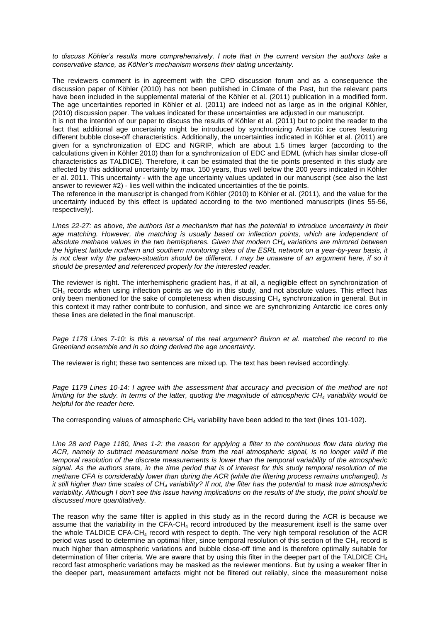*to discuss Köhler's results more comprehensively. I note that in the current version the authors take a conservative stance, as Köhler's mechanism worsens their dating uncertainty.*

The reviewers comment is in agreement with the CPD discussion forum and as a consequence the discussion paper of Köhler (2010) has not been published in Climate of the Past, but the relevant parts have been included in the supplemental material of the Köhler et al. (2011) publication in a modified form. The age uncertainties reported in Köhler et al. (2011) are indeed not as large as in the original Köhler, (2010) discussion paper. The values indicated for these uncertainties are adjusted in our manuscript.

It is not the intention of our paper to discuss the results of Köhler et al. (2011) but to point the reader to the fact that additional age uncertainty might be introduced by synchronizing Antarctic ice cores featuring different bubble close-off characteristics. Additionally, the uncertainties indicated in Köhler et al. (2011) are given for a synchronization of EDC and NGRIP, which are about 1.5 times larger (according to the calculations given in Köhler 2010) than for a synchronization of EDC and EDML (which has similar close-off characteristics as TALDICE). Therefore, it can be estimated that the tie points presented in this study are affected by this additional uncertainty by max. 150 years, thus well below the 200 years indicated in Köhler er al. 2011. This uncertainty - with the age uncertainty values updated in our manuscript (see also the last answer to reviewer #2) - lies well within the indicated uncertainties of the tie points.

The reference in the manuscript is changed from Köhler (2010) to Köhler et al. (2011), and the value for the uncertainty induced by this effect is updated according to the two mentioned manuscripts (lines 55-56, respectively).

*Lines 22-27: as above, the authors list a mechanism that has the potential to introduce uncertainty in their age matching. However, the matching is usually based on inflection points, which are independent of absolute methane values in the two hemispheres. Given that modern CH<sup>4</sup> variations are mirrored between the highest latitude northern and southern monitoring sites of the ESRL network on a year-by-year basis, it is not clear why the palaeo-situation should be different. I may be unaware of an argument here, if so it should be presented and referenced properly for the interested reader.*

The reviewer is right. The interhemispheric gradient has, if at all, a negligible effect on synchronization of  $CH<sub>4</sub>$  records when using inflection points as we do in this study, and not absolute values. This effect has only been mentioned for the sake of completeness when discussing  $CH<sub>4</sub>$  synchronization in general. But in this context it may rather contribute to confusion, and since we are synchronizing Antarctic ice cores only these lines are deleted in the final manuscript.

*Page 1178 Lines 7-10: is this a reversal of the real argument? Buiron et al. matched the record to the Greenland ensemble and in so doing derived the age uncertainty.*

The reviewer is right; these two sentences are mixed up. The text has been revised accordingly.

*Page 1179 Lines 10-14: I agree with the assessment that accuracy and precision of the method are not limiting for the study. In terms of the latter, quoting the magnitude of atmospheric CH<sup>4</sup> variability would be helpful for the reader here.*

The corresponding values of atmospheric  $CH<sub>4</sub>$  variability have been added to the text (lines 101-102).

*Line 28 and Page 1180, lines 1-2: the reason for applying a filter to the continuous flow data during the ACR, namely to subtract measurement noise from the real atmospheric signal, is no longer valid if the temporal resolution of the discrete measurements is lower than the temporal variability of the atmospheric signal. As the authors state, in the time period that is of interest for this study temporal resolution of the methane CFA is considerably lower than during the ACR (while the filtering process remains unchanged). Is it still higher than time scales of CH<sup>4</sup> variability? If not, the filter has the potential to mask true atmospheric variability. Although I don't see this issue having implications on the results of the study, the point should be discussed more quantitatively.*

The reason why the same filter is applied in this study as in the record during the ACR is because we assume that the variability in the  $CFA-CH<sub>4</sub>$  record introduced by the measurement itself is the same over the whole TALDICE CFA-CH<sub>4</sub> record with respect to depth. The very high temporal resolution of the ACR period was used to determine an optimal filter, since temporal resolution of this section of the  $CH<sub>4</sub>$  record is much higher than atmospheric variations and bubble close-off time and is therefore optimally suitable for determination of filter criteria. We are aware that by using this filter in the deeper part of the TALDICE  $CH_4$ record fast atmospheric variations may be masked as the reviewer mentions. But by using a weaker filter in the deeper part, measurement artefacts might not be filtered out reliably, since the measurement noise